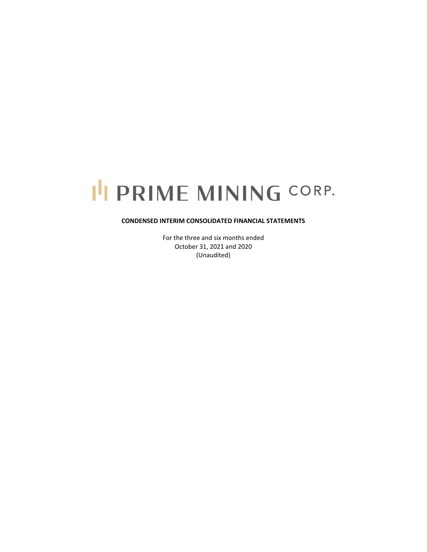# I'I PRIME MINING CORP.

# **CONDENSED INTERIM CONSOLIDATED FINANCIAL STATEMENTS**

For the three and six months ended October 31, 2021 and 2020 (Unaudited)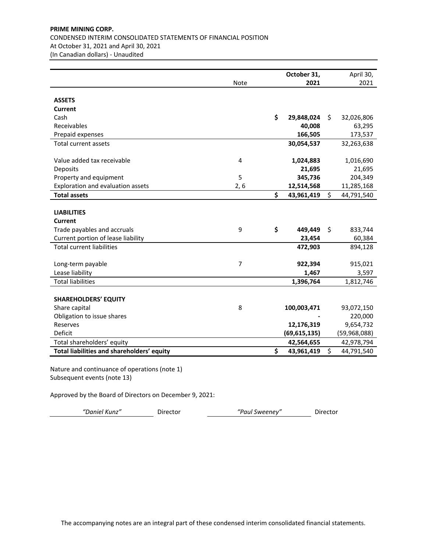# **PRIME MINING CORP.** CONDENSED INTERIM CONSOLIDATED STATEMENTS OF FINANCIAL POSITION At October 31, 2021 and April 30, 2021 (In Canadian dollars) ‐ Unaudited

|                                            |                | October 31,      | April 30,        |
|--------------------------------------------|----------------|------------------|------------------|
|                                            | Note           | 2021             | 2021             |
|                                            |                |                  |                  |
| <b>ASSETS</b>                              |                |                  |                  |
| Current                                    |                |                  |                  |
| Cash                                       |                | \$<br>29,848,024 | \$<br>32,026,806 |
| Receivables                                |                | 40,008           | 63,295           |
| Prepaid expenses                           |                | 166,505          | 173,537          |
| <b>Total current assets</b>                |                | 30,054,537       | 32,263,638       |
|                                            |                |                  |                  |
| Value added tax receivable                 | 4              | 1,024,883        | 1,016,690        |
| Deposits                                   |                | 21,695           | 21,695           |
| Property and equipment                     | 5              | 345,736          | 204,349          |
| Exploration and evaluation assets          | 2, 6           | 12,514,568       | 11,285,168       |
| <b>Total assets</b>                        |                | \$<br>43,961,419 | \$<br>44,791,540 |
|                                            |                |                  |                  |
| <b>LIABILITIES</b>                         |                |                  |                  |
| Current                                    |                |                  |                  |
| Trade payables and accruals                | 9              | \$<br>449,449    | \$<br>833,744    |
| Current portion of lease liability         |                | 23,454           | 60,384           |
| <b>Total current liabilities</b>           |                | 472,903          | 894,128          |
|                                            |                |                  |                  |
| Long-term payable                          | $\overline{7}$ | 922,394          | 915,021          |
| Lease liability                            |                | 1,467            | 3,597            |
| <b>Total liabilities</b>                   |                | 1,396,764        | 1,812,746        |
|                                            |                |                  |                  |
| <b>SHAREHOLDERS' EQUITY</b>                |                |                  |                  |
| Share capital                              | 8              | 100,003,471      | 93,072,150       |
| Obligation to issue shares                 |                |                  | 220,000          |
| Reserves                                   |                | 12,176,319       | 9,654,732        |
| Deficit                                    |                | (69,615,135)     | (59,968,088)     |
| Total shareholders' equity                 |                | 42,564,655       | 42,978,794       |
| Total liabilities and shareholders' equity |                | \$<br>43,961,419 | \$<br>44,791,540 |

Nature and continuance of operations (note 1) Subsequent events (note 13)

Approved by the Board of Directors on December 9, 2021:

*"Daniel Kunz"* Director *"Paul Sweeney"* Director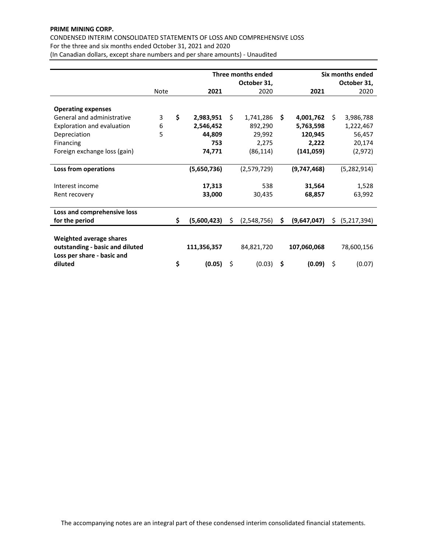# **PRIME MINING CORP.**

CONDENSED INTERIM CONSOLIDATED STATEMENTS OF LOSS AND COMPREHENSIVE LOSS For the three and six months ended October 31, 2021 and 2020

(In Canadian dollars, except share numbers and per share amounts) ‐ Unaudited

|                                                                                          |             |                   |    | Three months ended | Six months ended |             |    |               |  |
|------------------------------------------------------------------------------------------|-------------|-------------------|----|--------------------|------------------|-------------|----|---------------|--|
|                                                                                          |             |                   |    | October 31,        |                  |             |    | October 31,   |  |
|                                                                                          | <b>Note</b> | 2021              |    | 2020               |                  | 2021        |    | 2020          |  |
| <b>Operating expenses</b>                                                                |             |                   |    |                    |                  |             |    |               |  |
| General and administrative                                                               | 3           | \$<br>2,983,951   | Ś. | 1,741,286          | Ŝ.               | 4,001,762   | Ŝ. | 3,986,788     |  |
| Exploration and evaluation                                                               | 6           | 2,546,452         |    | 892,290            |                  | 5,763,598   |    | 1,222,467     |  |
| Depreciation                                                                             | 5           | 44,809            |    | 29,992             |                  | 120,945     |    | 56,457        |  |
| Financing                                                                                |             | 753               |    | 2,275              |                  | 2,222       |    | 20,174        |  |
| Foreign exchange loss (gain)                                                             |             | 74,771            |    | (86, 114)          |                  | (141,059)   |    | (2,972)       |  |
|                                                                                          |             |                   |    |                    |                  |             |    |               |  |
| Loss from operations                                                                     |             | (5,650,736)       |    | (2,579,729)        |                  | (9,747,468) |    | (5, 282, 914) |  |
|                                                                                          |             |                   |    |                    |                  |             |    |               |  |
| Interest income                                                                          |             | 17,313            |    | 538                |                  | 31,564      |    | 1,528         |  |
| Rent recovery                                                                            |             | 33,000            |    | 30,435             |                  | 68,857      |    | 63,992        |  |
|                                                                                          |             |                   |    |                    |                  |             |    |               |  |
| Loss and comprehensive loss                                                              |             |                   |    |                    |                  |             |    |               |  |
| for the period                                                                           |             | \$<br>(5,600,423) | S  | (2,548,756)        | S.               | (9,647,047) | S. | (5,217,394)   |  |
|                                                                                          |             |                   |    |                    |                  |             |    |               |  |
| Weighted average shares<br>outstanding - basic and diluted<br>Loss per share - basic and |             | 111,356,357       |    | 84,821,720         |                  | 107,060,068 |    | 78,600,156    |  |
| diluted                                                                                  |             | \$<br>(0.05)      | \$ | (0.03)             | \$               | (0.09)      | \$ | (0.07)        |  |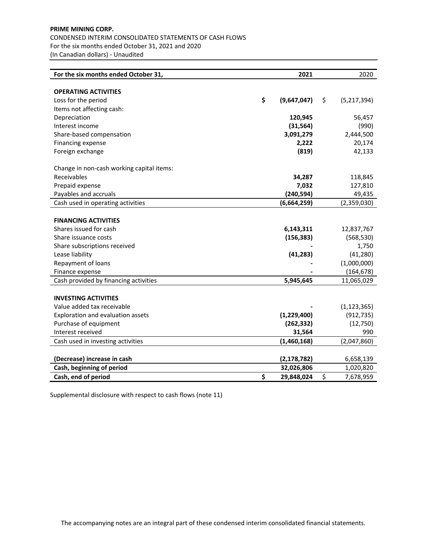# **PRIME MINING CORP.** CONDENSED INTERIM CONSOLIDATED STATEMENTS OF CASH FLOWS For the six months ended October 31, 2021 and 2020 (In Canadian dollars) ‐ Unaudited

| For the six months ended October 31,      | 2021              | 2020              |
|-------------------------------------------|-------------------|-------------------|
|                                           |                   |                   |
| <b>OPERATING ACTIVITIES</b>               |                   |                   |
| Loss for the period                       | \$<br>(9,647,047) | \$<br>(5,217,394) |
| Items not affecting cash:                 |                   |                   |
| Depreciation                              | 120,945           | 56,457            |
| Interest income                           | (31, 564)         | (990)             |
| Share-based compensation                  | 3,091,279         | 2,444,500         |
| Financing expense                         | 2,222             | 20,174            |
| Foreign exchange                          | (819)             | 42,133            |
| Change in non-cash working capital items: |                   |                   |
| Receivables                               | 34,287            | 118,845           |
| Prepaid expense                           | 7,032             | 127,810           |
| Payables and accruals                     | (240, 594)        | 49,435            |
| Cash used in operating activities         | (6,664,259)       | (2,359,030)       |
|                                           |                   |                   |
| <b>FINANCING ACTIVITIES</b>               |                   |                   |
| Shares issued for cash                    | 6,143,311         | 12,837,767        |
| Share issuance costs                      | (156, 383)        | (568, 530)        |
| Share subscriptions received              |                   | 1,750             |
| Lease liability                           | (41, 283)         | (41, 280)         |
| Repayment of loans                        |                   | (1,000,000)       |
| Finance expense                           |                   | (164, 678)        |
| Cash provided by financing activities     | 5,945,645         | 11,065,029        |
|                                           |                   |                   |
| <b>INVESTING ACTIVITIES</b>               |                   |                   |
| Value added tax receivable                |                   | (1, 123, 365)     |
| Exploration and evaluation assets         | (1,229,400)       | (912, 735)        |
| Purchase of equipment                     | (262, 332)        | (12, 750)         |
| Interest received                         | 31,564            | 990               |
| Cash used in investing activities         | (1,460,168)       | (2,047,860)       |
|                                           |                   |                   |
| (Decrease) increase in cash               | (2, 178, 782)     | 6,658,139         |
| Cash, beginning of period                 | 32,026,806        | 1,020,820         |
| Cash, end of period                       | \$<br>29,848,024  | \$<br>7,678,959   |

Supplemental disclosure with respect to cash flows (note 11)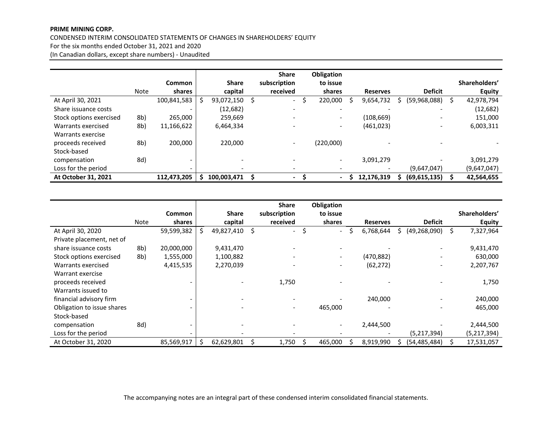#### **PRIME MINING CORP.**

#### CONDENSED INTERIM CONSOLIDATED STATEMENTS OF CHANGES IN SHAREHOLDERS' EQUITY

For the six months ended October 31, 2021 and 2020

(In Canadian dollars, except share numbers) ‐ Unaudited

|                         |             |               |              |   | <b>Share</b>             | Obligation               |                 |                          |    |               |
|-------------------------|-------------|---------------|--------------|---|--------------------------|--------------------------|-----------------|--------------------------|----|---------------|
|                         |             | <b>Common</b> | <b>Share</b> |   | subscription             | to issue                 |                 |                          |    | Shareholders' |
|                         | <b>Note</b> | shares        | capital      |   | received                 | shares                   | <b>Reserves</b> | <b>Deficit</b>           |    | <b>Equity</b> |
| At April 30, 2021       |             | 100,841,583   | 93,072,150   | S | $\overline{\phantom{a}}$ | 220,000                  | 9,654,732       | (59,968,088)             | S. | 42,978,794    |
| Share issuance costs    |             | -             | (12,682)     |   | $\overline{\phantom{a}}$ |                          |                 |                          |    | (12, 682)     |
| Stock options exercised | 8b)         | 265,000       | 259,669      |   | $\overline{\phantom{a}}$ |                          | (108, 669)      | $\overline{\phantom{0}}$ |    | 151,000       |
| Warrants exercised      | 8b)         | 11,166,622    | 6,464,334    |   |                          | $\overline{\phantom{0}}$ | (461, 023)      | $\overline{\phantom{a}}$ |    | 6,003,311     |
| Warrants exercise       |             |               |              |   |                          |                          |                 |                          |    |               |
| proceeds received       | 8b)         | 200.000       | 220,000      |   | $\overline{\phantom{a}}$ | (220,000)                |                 |                          |    |               |
| Stock-based             |             |               |              |   |                          |                          |                 |                          |    |               |
| compensation            | 8d)         | -             |              |   |                          |                          | 3,091,279       |                          |    | 3,091,279     |
| Loss for the period     |             |               |              |   |                          |                          |                 | (9,647,047)              |    | (9,647,047)   |
| At October 31, 2021     |             | 112,473,205   | 100,003,471  |   | $\blacksquare$           | Ξ.                       | 12,176,319      | (69, 615, 135)           |    | 42,564,655    |

|                            |      |               |    |              |   | <b>Share</b>             | <b>Obligation</b>        |    |                 |   |                          |                 |
|----------------------------|------|---------------|----|--------------|---|--------------------------|--------------------------|----|-----------------|---|--------------------------|-----------------|
|                            |      | <b>Common</b> |    | <b>Share</b> |   | subscription             | to issue                 |    |                 |   |                          | Shareholders'   |
|                            | Note | shares        |    | capital      |   | received                 | shares                   |    | <b>Reserves</b> |   | <b>Deficit</b>           | <b>Equity</b>   |
| At April 30, 2020          |      | 59,599,382    | S. | 49,827,410   | Ŝ | $\blacksquare$           | \$<br>$\sim$             | Ŝ. | 6,768,644       | S | (49, 268, 090)           | \$<br>7,327,964 |
| Private placement, net of  |      |               |    |              |   |                          |                          |    |                 |   |                          |                 |
| share issuance costs       | 8b)  | 20,000,000    |    | 9,431,470    |   | $\overline{\phantom{a}}$ |                          |    |                 |   |                          | 9,431,470       |
| Stock options exercised    | 8b)  | 1,555,000     |    | 1,100,882    |   | $\overline{\phantom{a}}$ | $\overline{\phantom{a}}$ |    | (470, 882)      |   | $\overline{\phantom{a}}$ | 630,000         |
| Warrants exercised         |      | 4,415,535     |    | 2,270,039    |   | $\overline{\phantom{a}}$ | $\overline{\phantom{a}}$ |    | (62, 272)       |   | $\overline{\phantom{a}}$ | 2,207,767       |
| Warrant exercise           |      |               |    |              |   |                          |                          |    |                 |   |                          |                 |
| proceeds received          |      |               |    |              |   | 1,750                    |                          |    |                 |   |                          | 1,750           |
| Warrants issued to         |      |               |    |              |   |                          |                          |    |                 |   |                          |                 |
| financial advisory firm    |      |               |    |              |   | $\overline{\phantom{a}}$ |                          |    | 240,000         |   |                          | 240,000         |
| Obligation to issue shares |      |               |    |              |   | $\overline{\phantom{a}}$ | 465,000                  |    |                 |   |                          | 465,000         |
| Stock-based                |      |               |    |              |   |                          |                          |    |                 |   |                          |                 |
| compensation               | 8d)  |               |    |              |   |                          |                          |    | 2,444,500       |   |                          | 2,444,500       |
| Loss for the period        |      |               |    |              |   |                          |                          |    |                 |   | (5,217,394)              | (5,217,394)     |
| At October 31, 2020        |      | 85,569,917    | Ś. | 62,629,801   |   | 1,750                    | 465,000                  |    | 8,919,990       |   | (54,485,484)             | 17,531,057      |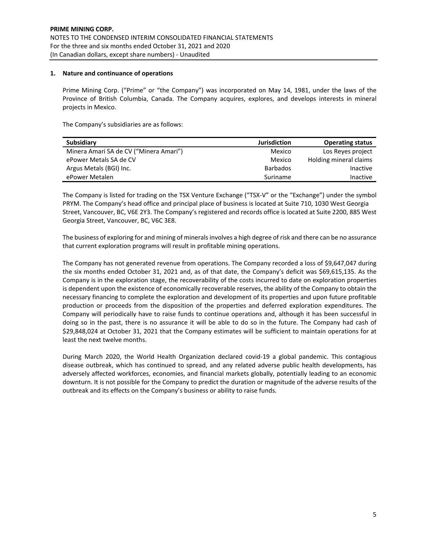# **1. Nature and continuance of operations**

Prime Mining Corp. ("Prime" or "the Company") was incorporated on May 14, 1981, under the laws of the Province of British Columbia, Canada. The Company acquires, explores, and develops interests in mineral projects in Mexico.

The Company's subsidiaries are as follows:

| <b>Subsidiary</b>                      | <b>Jurisdiction</b> | <b>Operating status</b> |
|----------------------------------------|---------------------|-------------------------|
| Minera Amari SA de CV ("Minera Amari") | Mexico              | Los Reves project       |
| ePower Metals SA de CV                 | Mexico              | Holding mineral claims  |
| Argus Metals (BGI) Inc.                | Barbados            | Inactive                |
| ePower Metalen                         | Suriname            | Inactive                |

The Company is listed for trading on the TSX Venture Exchange ("TSX‐V" or the "Exchange") under the symbol PRYM. The Company's head office and principal place of business is located at Suite 710, 1030 West Georgia Street, Vancouver, BC, V6E 2Y3. The Company's registered and records office is located at Suite 2200, 885 West Georgia Street, Vancouver, BC, V6C 3E8.

The business of exploring for and mining of minerals involves a high degree of risk and there can be no assurance that current exploration programs will result in profitable mining operations.

The Company has not generated revenue from operations. The Company recorded a loss of \$9,647,047 during the six months ended October 31, 2021 and, as of that date, the Company's deficit was \$69,615,135. As the Company is in the exploration stage, the recoverability of the costs incurred to date on exploration properties is dependent upon the existence of economically recoverable reserves, the ability of the Company to obtain the necessary financing to complete the exploration and development of its properties and upon future profitable production or proceeds from the disposition of the properties and deferred exploration expenditures. The Company will periodically have to raise funds to continue operations and, although it has been successful in doing so in the past, there is no assurance it will be able to do so in the future. The Company had cash of \$29,848,024 at October 31, 2021 that the Company estimates will be sufficient to maintain operations for at least the next twelve months.

During March 2020, the World Health Organization declared covid‐19 a global pandemic. This contagious disease outbreak, which has continued to spread, and any related adverse public health developments, has adversely affected workforces, economies, and financial markets globally, potentially leading to an economic downturn. It is not possible for the Company to predict the duration or magnitude of the adverse results of the outbreak and its effects on the Company's business or ability to raise funds.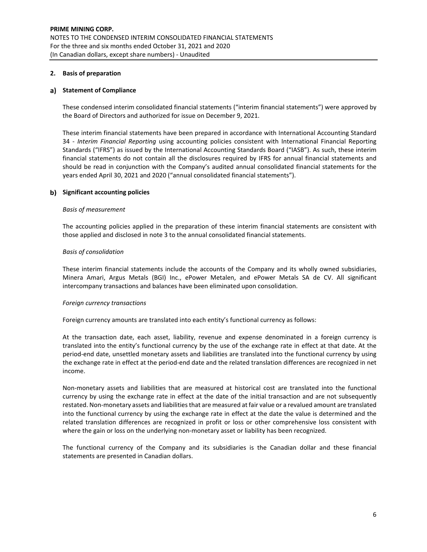# **2. Basis of preparation**

# **Statement of Compliance**

These condensed interim consolidated financial statements ("interim financial statements") were approved by the Board of Directors and authorized for issue on December 9, 2021.

These interim financial statements have been prepared in accordance with International Accounting Standard 34 ‐ *Interim Financial Reporting* using accounting policies consistent with International Financial Reporting Standards ("IFRS") as issued by the International Accounting Standards Board ("IASB"). As such, these interim financial statements do not contain all the disclosures required by IFRS for annual financial statements and should be read in conjunction with the Company's audited annual consolidated financial statements for the years ended April 30, 2021 and 2020 ("annual consolidated financial statements").

# **Significant accounting policies**

#### *Basis of measurement*

The accounting policies applied in the preparation of these interim financial statements are consistent with those applied and disclosed in note 3 to the annual consolidated financial statements.

## *Basis of consolidation*

These interim financial statements include the accounts of the Company and its wholly owned subsidiaries, Minera Amari, Argus Metals (BGI) Inc., ePower Metalen, and ePower Metals SA de CV. All significant intercompany transactions and balances have been eliminated upon consolidation.

## *Foreign currency transactions*

Foreign currency amounts are translated into each entity's functional currency as follows:

At the transaction date, each asset, liability, revenue and expense denominated in a foreign currency is translated into the entity's functional currency by the use of the exchange rate in effect at that date. At the period‐end date, unsettled monetary assets and liabilities are translated into the functional currency by using the exchange rate in effect at the period-end date and the related translation differences are recognized in net income.

Non‐monetary assets and liabilities that are measured at historical cost are translated into the functional currency by using the exchange rate in effect at the date of the initial transaction and are not subsequently restated. Non-monetary assets and liabilities that are measured at fair value or a revalued amount are translated into the functional currency by using the exchange rate in effect at the date the value is determined and the related translation differences are recognized in profit or loss or other comprehensive loss consistent with where the gain or loss on the underlying non-monetary asset or liability has been recognized.

The functional currency of the Company and its subsidiaries is the Canadian dollar and these financial statements are presented in Canadian dollars.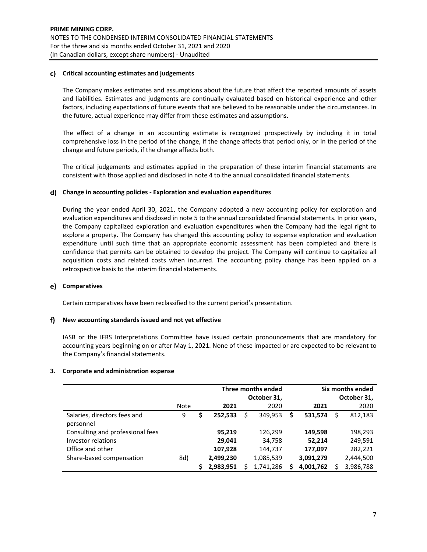# **Critical accounting estimates and judgements**

The Company makes estimates and assumptions about the future that affect the reported amounts of assets and liabilities. Estimates and judgments are continually evaluated based on historical experience and other factors, including expectations of future events that are believed to be reasonable under the circumstances. In the future, actual experience may differ from these estimates and assumptions.

The effect of a change in an accounting estimate is recognized prospectively by including it in total comprehensive loss in the period of the change, if the change affects that period only, or in the period of the change and future periods, if the change affects both.

The critical judgements and estimates applied in the preparation of these interim financial statements are consistent with those applied and disclosed in note 4 to the annual consolidated financial statements.

# **Change in accounting policies ‐ Exploration and evaluation expenditures**

During the year ended April 30, 2021, the Company adopted a new accounting policy for exploration and evaluation expenditures and disclosed in note 5 to the annual consolidated financial statements. In prior years, the Company capitalized exploration and evaluation expenditures when the Company had the legal right to explore a property. The Company has changed this accounting policy to expense exploration and evaluation expenditure until such time that an appropriate economic assessment has been completed and there is confidence that permits can be obtained to develop the project. The Company will continue to capitalize all acquisition costs and related costs when incurred. The accounting policy change has been applied on a retrospective basis to the interim financial statements.

## **Comparatives**

Certain comparatives have been reclassified to the current period's presentation.

## **New accounting standards issued and not yet effective**

IASB or the IFRS Interpretations Committee have issued certain pronouncements that are mandatory for accounting years beginning on or after May 1, 2021. None of these impacted or are expected to be relevant to the Company's financial statements.

## **3. Corporate and administration expense**

|                                           |             |   |           |   | Three months ended<br>October 31, | Six months ended<br>October 31, |           |  |           |
|-------------------------------------------|-------------|---|-----------|---|-----------------------------------|---------------------------------|-----------|--|-----------|
|                                           | <b>Note</b> |   | 2021      |   | 2020                              |                                 | 2021      |  | 2020      |
| Salaries, directors fees and<br>personnel | 9           | S | 252,533   | Ś | 349,953                           | \$                              | 531,574   |  | 812,183   |
| Consulting and professional fees          |             |   | 95,219    |   | 126,299                           |                                 | 149,598   |  | 198,293   |
| Investor relations                        |             |   | 29,041    |   | 34,758                            |                                 | 52,214    |  | 249,591   |
| Office and other                          |             |   | 107,928   |   | 144,737                           |                                 | 177,097   |  | 282,221   |
| Share-based compensation                  | 8d)         |   | 2,499,230 |   | 1,085,539                         |                                 | 3,091,279 |  | 2,444,500 |
|                                           |             |   | 2,983,951 |   | 1,741,286                         |                                 | 4,001,762 |  | 3,986,788 |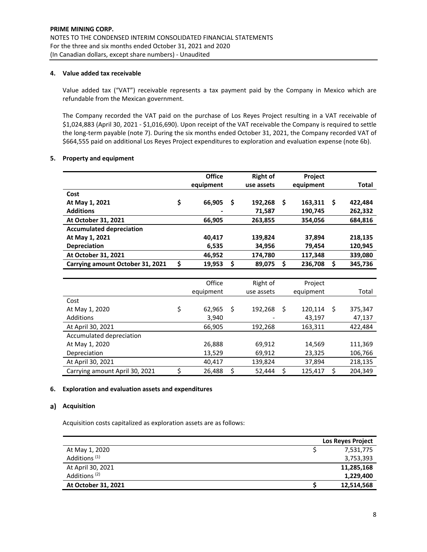# **4. Value added tax receivable**

Value added tax ("VAT") receivable represents a tax payment paid by the Company in Mexico which are refundable from the Mexican government.

The Company recorded the VAT paid on the purchase of Los Reyes Project resulting in a VAT receivable of \$1,024,883 (April 30, 2021 ‐ \$1,016,690). Upon receipt of the VAT receivable the Company is required to settle the long-term payable (note 7). During the six months ended October 31, 2021, the Company recorded VAT of \$664,555 paid on additional Los Reyes Project expenditures to exploration and evaluation expense (note 6b).

# **5. Property and equipment**

|                                  | <b>Office</b> |      | <b>Right of</b> |    | Project   |    |         |
|----------------------------------|---------------|------|-----------------|----|-----------|----|---------|
|                                  | equipment     |      | use assets      |    | equipment |    | Total   |
| Cost                             |               |      |                 |    |           |    |         |
| At May 1, 2021                   | \$<br>66,905  | - \$ | 192,268         | Ŝ. | 163,311   | Ŝ  | 422,484 |
| <b>Additions</b>                 |               |      | 71,587          |    | 190,745   |    | 262,332 |
| At October 31, 2021              | 66,905        |      | 263,855         |    | 354,056   |    | 684,816 |
| <b>Accumulated depreciation</b>  |               |      |                 |    |           |    |         |
| At May 1, 2021                   | 40,417        |      | 139,824         |    | 37,894    |    | 218,135 |
| Depreciation                     | 6,535         |      | 34,956          |    | 79,454    |    | 120,945 |
| At October 31, 2021              | 46,952        |      | 174,780         |    | 117,348   |    | 339,080 |
| Carrying amount October 31, 2021 | \$<br>19,953  | \$   | 89,075          | \$ | 236,708   | \$ | 345,736 |
|                                  |               |      |                 |    |           |    |         |
|                                  | Office        |      | Right of        |    | Project   |    |         |
|                                  | equipment     |      | use assets      |    | equipment |    | Total   |
| Cost                             |               |      |                 |    |           |    |         |
| At May 1, 2020                   | \$<br>62,965  | \$   | 192,268         | Ŝ. | 120,114   | Ŝ. | 375,347 |
| Additions                        | 3,940         |      |                 |    | 43,197    |    | 47,137  |
| At April 30, 2021                | 66,905        |      | 192,268         |    | 163,311   |    | 422,484 |
| Accumulated depreciation         |               |      |                 |    |           |    |         |
| At May 1, 2020                   | 26,888        |      | 69,912          |    | 14,569    |    | 111,369 |
| Depreciation                     | 13,529        |      | 69,912          |    | 23,325    |    | 106,766 |
| At April 30, 2021                | 40,417        |      | 139,824         |    | 37,894    |    | 218,135 |
| Carrying amount April 30, 2021   | \$<br>26,488  | \$   | 52,444          | \$ | 125,417   | \$ | 204,349 |

## **6. Exploration and evaluation assets and expenditures**

# a) Acquisition

Acquisition costs capitalized as exploration assets are as follows:

|                          | <b>Los Reves Project</b> |
|--------------------------|--------------------------|
| At May 1, 2020           | 7,531,775                |
| Additions <sup>(1)</sup> | 3,753,393                |
| At April 30, 2021        | 11,285,168               |
| Additions <sup>(2)</sup> | 1,229,400                |
| At October 31, 2021      | 12,514,568               |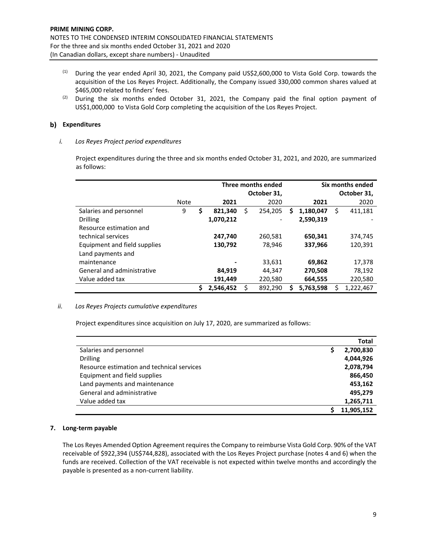- (1) During the year ended April 30, 2021, the Company paid US\$2,600,000 to Vista Gold Corp. towards the acquisition of the Los Reyes Project. Additionally, the Company issued 330,000 common shares valued at \$465,000 related to finders' fees.
- $(2)$  During the six months ended October 31, 2021, the Company paid the final option payment of US\$1,000,000 to Vista Gold Corp completing the acquisition of the Los Reyes Project.

# **b**) Expenditures

# *i. Los Reyes Project period expenditures*

Project expenditures during the three and six months ended October 31, 2021, and 2020, are summarized as follows:

|                              |      |               | <b>Three months ended</b><br>October 31, | Six months ended |           |    |                     |  |  |
|------------------------------|------|---------------|------------------------------------------|------------------|-----------|----|---------------------|--|--|
|                              | Note | 2021          | 2020                                     |                  | 2021      |    | October 31,<br>2020 |  |  |
| Salaries and personnel       | 9    | \$<br>821,340 | \$<br>254.205                            | S                | 1,180,047 | \$ | 411,181             |  |  |
| <b>Drilling</b>              |      | 1,070,212     |                                          |                  | 2,590,319 |    |                     |  |  |
| Resource estimation and      |      |               |                                          |                  |           |    |                     |  |  |
| technical services           |      | 247,740       | 260,581                                  |                  | 650,341   |    | 374,745             |  |  |
| Equipment and field supplies |      | 130,792       | 78.946                                   |                  | 337,966   |    | 120.391             |  |  |
| Land payments and            |      |               |                                          |                  |           |    |                     |  |  |
| maintenance                  |      |               | 33,631                                   |                  | 69,862    |    | 17,378              |  |  |
| General and administrative   |      | 84,919        | 44,347                                   |                  | 270,508   |    | 78,192              |  |  |
| Value added tax              |      | 191,449       | 220,580                                  |                  | 664,555   |    | 220,580             |  |  |
|                              |      | 2.546.452     | \$<br>892,290                            | S                | 5.763.598 |    | 1.222.467           |  |  |

## *ii. Los Reyes Projects cumulative expenditures*

Project expenditures since acquisition on July 17, 2020, are summarized as follows:

|                                            |   | Total      |
|--------------------------------------------|---|------------|
| Salaries and personnel                     | S | 2,700,830  |
| <b>Drilling</b>                            |   | 4,044,926  |
| Resource estimation and technical services |   | 2,078,794  |
| Equipment and field supplies               |   | 866,450    |
| Land payments and maintenance              |   | 453,162    |
| General and administrative                 |   | 495.279    |
| Value added tax                            |   | 1,265,711  |
|                                            |   | 11,905,152 |

# **7. Long‐term payable**

The Los Reyes Amended Option Agreement requires the Company to reimburse Vista Gold Corp. 90% of the VAT receivable of \$922,394 (US\$744,828), associated with the Los Reyes Project purchase (notes 4 and 6) when the funds are received. Collection of the VAT receivable is not expected within twelve months and accordingly the payable is presented as a non‐current liability.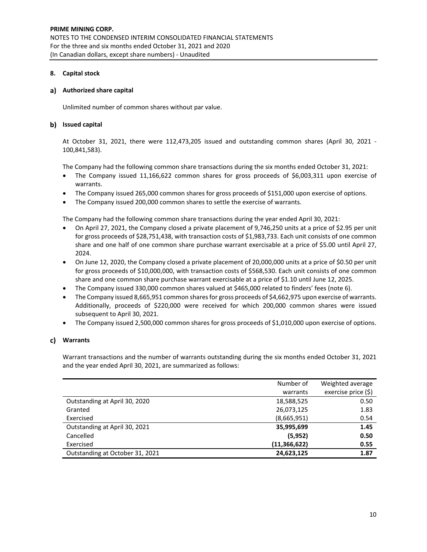# **8. Capital stock**

# **Authorized share capital**

Unlimited number of common shares without par value.

# **Issued capital**

At October 31, 2021, there were 112,473,205 issued and outstanding common shares (April 30, 2021 ‐ 100,841,583).

The Company had the following common share transactions during the six months ended October 31, 2021:

- The Company issued 11,166,622 common shares for gross proceeds of \$6,003,311 upon exercise of warrants.
- The Company issued 265,000 common shares for gross proceeds of \$151,000 upon exercise of options.
- The Company issued 200,000 common shares to settle the exercise of warrants.

The Company had the following common share transactions during the year ended April 30, 2021:

- On April 27, 2021, the Company closed a private placement of 9,746,250 units at a price of \$2.95 per unit for gross proceeds of \$28,751,438, with transaction costs of \$1,983,733. Each unit consists of one common share and one half of one common share purchase warrant exercisable at a price of \$5.00 until April 27, 2024.
- On June 12, 2020, the Company closed a private placement of 20,000,000 units at a price of \$0.50 per unit for gross proceeds of \$10,000,000, with transaction costs of \$568,530. Each unit consists of one common share and one common share purchase warrant exercisable at a price of \$1.10 until June 12, 2025.
- The Company issued 330,000 common shares valued at \$465,000 related to finders' fees (note 6).
- The Company issued 8,665,951 common shares for gross proceeds of \$4,662,975 upon exercise of warrants. Additionally, proceeds of \$220,000 were received for which 200,000 common shares were issued subsequent to April 30, 2021.
- The Company issued 2,500,000 common shares for gross proceeds of \$1,010,000 upon exercise of options.

# **Warrants**

Warrant transactions and the number of warrants outstanding during the six months ended October 31, 2021 and the year ended April 30, 2021, are summarized as follows:

|                                 | Number of      | Weighted average    |
|---------------------------------|----------------|---------------------|
|                                 | warrants       | exercise price (\$) |
| Outstanding at April 30, 2020   | 18,588,525     | 0.50                |
| Granted                         | 26,073,125     | 1.83                |
| Exercised                       | (8,665,951)    | 0.54                |
| Outstanding at April 30, 2021   | 35,995,699     | 1.45                |
| Cancelled                       | (5, 952)       | 0.50                |
| Exercised                       | (11, 366, 622) | 0.55                |
| Outstanding at October 31, 2021 | 24,623,125     | 1.87                |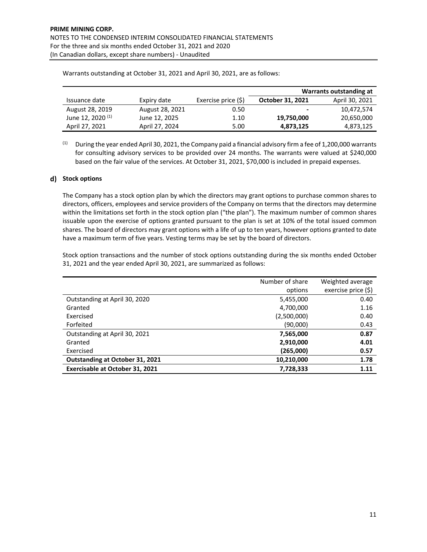|                              |                 |                     | Warrants outstanding at |                |  |
|------------------------------|-----------------|---------------------|-------------------------|----------------|--|
| Issuance date                | Expiry date     | Exercise price (\$) | October 31, 2021        | April 30, 2021 |  |
| August 28, 2019              | August 28, 2021 | 0.50                | $\blacksquare$          | 10,472,574     |  |
| June 12, 2020 <sup>(1)</sup> | June 12, 2025   | 1.10                | 19,750,000              | 20,650,000     |  |
| April 27, 2021               | April 27, 2024  | 5.00                | 4,873,125               | 4,873,125      |  |

Warrants outstanding at October 31, 2021 and April 30, 2021, are as follows:

 $(1)$  During the year ended April 30, 2021, the Company paid a financial advisory firm a fee of 1,200,000 warrants for consulting advisory services to be provided over 24 months. The warrants were valued at \$240,000 based on the fair value of the services. At October 31, 2021, \$70,000 is included in prepaid expenses.

# **Stock options**

The Company has a stock option plan by which the directors may grant options to purchase common shares to directors, officers, employees and service providers of the Company on terms that the directors may determine within the limitations set forth in the stock option plan ("the plan"). The maximum number of common shares issuable upon the exercise of options granted pursuant to the plan is set at 10% of the total issued common shares. The board of directors may grant options with a life of up to ten years, however options granted to date have a maximum term of five years. Vesting terms may be set by the board of directors.

Stock option transactions and the number of stock options outstanding during the six months ended October 31, 2021 and the year ended April 30, 2021, are summarized as follows:

|                                        | Number of share | Weighted average    |
|----------------------------------------|-----------------|---------------------|
|                                        | options         | exercise price (\$) |
| Outstanding at April 30, 2020          | 5,455,000       | 0.40                |
| Granted                                | 4,700,000       | 1.16                |
| Exercised                              | (2,500,000)     | 0.40                |
| Forfeited                              | (90,000)        | 0.43                |
| Outstanding at April 30, 2021          | 7,565,000       | 0.87                |
| Granted                                | 2,910,000       | 4.01                |
| Exercised                              | (265,000)       | 0.57                |
| <b>Outstanding at October 31, 2021</b> | 10,210,000      | 1.78                |
| <b>Exercisable at October 31, 2021</b> | 7,728,333       | 1.11                |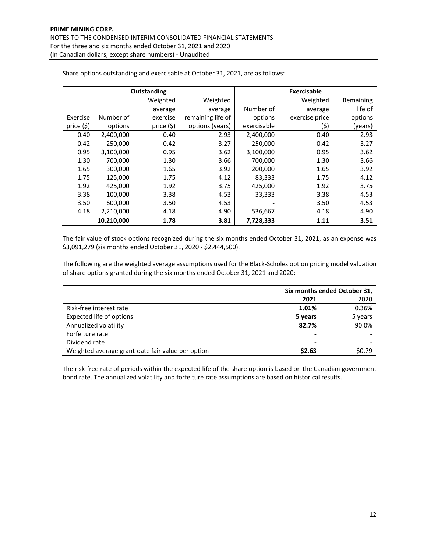|            |            | <b>Outstanding</b> | <b>Exercisable</b> |             |                |           |
|------------|------------|--------------------|--------------------|-------------|----------------|-----------|
|            |            | Weighted           | Weighted           |             | Weighted       | Remaining |
|            |            | average            | average            | Number of   | average        | life of   |
| Exercise   | Number of  | exercise           | remaining life of  | options     | exercise price | options   |
| price (\$) | options    | price (\$)         | options (years)    | exercisable | (\$)           | (years)   |
| 0.40       | 2,400,000  | 0.40               | 2.93               | 2,400,000   | 0.40           | 2.93      |
| 0.42       | 250,000    | 0.42               | 3.27               | 250,000     | 0.42           | 3.27      |
| 0.95       | 3,100,000  | 0.95               | 3.62               | 3,100,000   | 0.95           | 3.62      |
| 1.30       | 700,000    | 1.30               | 3.66               | 700,000     | 1.30           | 3.66      |
| 1.65       | 300,000    | 1.65               | 3.92               | 200,000     | 1.65           | 3.92      |
| 1.75       | 125,000    | 1.75               | 4.12               | 83,333      | 1.75           | 4.12      |
| 1.92       | 425,000    | 1.92               | 3.75               | 425,000     | 1.92           | 3.75      |
| 3.38       | 100.000    | 3.38               | 4.53               | 33,333      | 3.38           | 4.53      |
| 3.50       | 600,000    | 3.50               | 4.53               |             | 3.50           | 4.53      |
| 4.18       | 2,210,000  | 4.18               | 4.90               | 536,667     | 4.18           | 4.90      |
|            | 10,210,000 | 1.78               | 3.81               | 7,728,333   | 1.11           | 3.51      |

Share options outstanding and exercisable at October 31, 2021, are as follows:

The fair value of stock options recognized during the six months ended October 31, 2021, as an expense was \$3,091,279 (six months ended October 31, 2020 ‐ \$2,444,500).

The following are the weighted average assumptions used for the Black‐Scholes option pricing model valuation of share options granted during the six months ended October 31, 2021 and 2020:

|                                                   | Six months ended October 31, |         |  |
|---------------------------------------------------|------------------------------|---------|--|
|                                                   | 2021                         | 2020    |  |
| Risk-free interest rate                           | 1.01%                        | 0.36%   |  |
| Expected life of options                          | 5 years                      | 5 years |  |
| Annualized volatility                             | 82.7%                        | 90.0%   |  |
| Forfeiture rate                                   |                              |         |  |
| Dividend rate                                     |                              |         |  |
| Weighted average grant-date fair value per option | \$2.63                       | \$0.79  |  |

The risk-free rate of periods within the expected life of the share option is based on the Canadian government bond rate. The annualized volatility and forfeiture rate assumptions are based on historical results.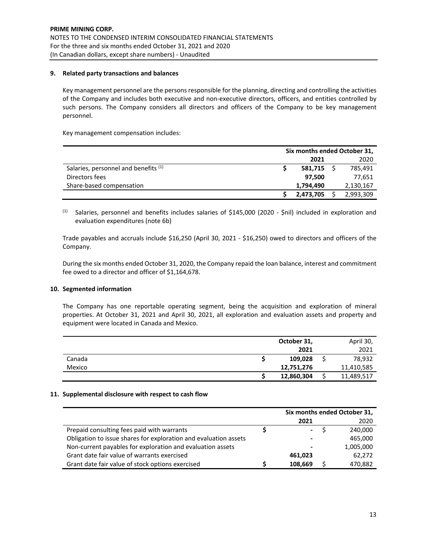# **9. Related party transactions and balances**

Key management personnel are the persons responsible for the planning, directing and controlling the activities of the Company and includes both executive and non‐executive directors, officers, and entities controlled by such persons. The Company considers all directors and officers of the Company to be key management personnel.

Key management compensation includes:

|                                      | Six months ended October 31, |           |  |           |  |
|--------------------------------------|------------------------------|-----------|--|-----------|--|
|                                      |                              | 2021      |  | 2020      |  |
| Salaries, personnel and benefits (1) |                              | 581,715   |  | 785,491   |  |
| Directors fees                       |                              | 97.500    |  | 77,651    |  |
| Share-based compensation             |                              | 1,794,490 |  | 2,130,167 |  |
|                                      |                              | 2,473,705 |  | 2,993,309 |  |

 $(1)$  Salaries, personnel and benefits includes salaries of \$145,000 (2020 - \$nil) included in exploration and evaluation expenditures (note 6b)

Trade payables and accruals include \$16,250 (April 30, 2021 ‐ \$16,250) owed to directors and officers of the Company.

During the six months ended October 31, 2020, the Company repaid the loan balance, interest and commitment fee owed to a director and officer of \$1,164,678.

## **10. Segmented information**

The Company has one reportable operating segment, being the acquisition and exploration of mineral properties. At October 31, 2021 and April 30, 2021, all exploration and evaluation assets and property and equipment were located in Canada and Mexico.

|        | October 31, | April 30,  |
|--------|-------------|------------|
|        | 2021        | 2021       |
| Canada | 109,028     | 78,932     |
| Mexico | 12,751,276  | 11,410,585 |
|        | 12,860,304  | 11,489,517 |

## **11. Supplemental disclosure with respect to cash flow**

|                                                                  | Six months ended October 31, |  |           |  |
|------------------------------------------------------------------|------------------------------|--|-----------|--|
|                                                                  | 2021                         |  | 2020      |  |
| Prepaid consulting fees paid with warrants                       | ۰.                           |  | 240.000   |  |
| Obligation to issue shares for exploration and evaluation assets | $\overline{\phantom{0}}$     |  | 465,000   |  |
| Non-current payables for exploration and evaluation assets       |                              |  | 1,005,000 |  |
| Grant date fair value of warrants exercised                      | 461,023                      |  | 62.272    |  |
| Grant date fair value of stock options exercised                 | 108.669                      |  | 470.882   |  |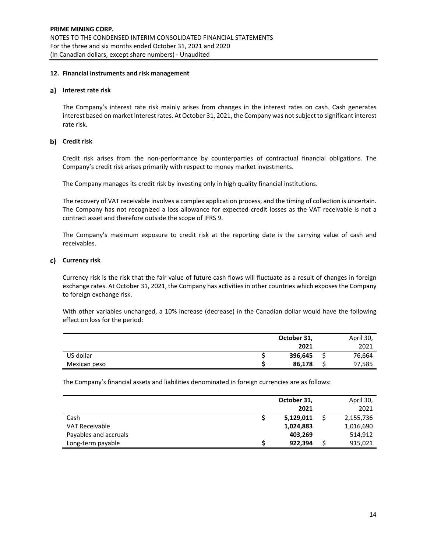## **12. Financial instruments and risk management**

#### **Interest rate risk**

The Company's interest rate risk mainly arises from changes in the interest rates on cash. Cash generates interest based on market interest rates. At October 31, 2021, the Company was notsubject to significant interest rate risk.

# **Credit risk**

Credit risk arises from the non‐performance by counterparties of contractual financial obligations. The Company's credit risk arises primarily with respect to money market investments.

The Company manages its credit risk by investing only in high quality financial institutions.

The recovery of VAT receivable involves a complex application process, and the timing of collection is uncertain. The Company has not recognized a loss allowance for expected credit losses as the VAT receivable is not a contract asset and therefore outside the scope of IFRS 9.

The Company's maximum exposure to credit risk at the reporting date is the carrying value of cash and receivables.

# **Currency risk**

Currency risk is the risk that the fair value of future cash flows will fluctuate as a result of changes in foreign exchange rates. At October 31, 2021, the Company has activities in other countries which exposes the Company to foreign exchange risk.

With other variables unchanged, a 10% increase (decrease) in the Canadian dollar would have the following effect on loss for the period:

|              | October 31, |   | April 30, |
|--------------|-------------|---|-----------|
|              | 2021        |   | 2021      |
| US dollar    | 396,645     | - | 76,664    |
| Mexican peso | 86,178      |   | 97,585    |

The Company's financial assets and liabilities denominated in foreign currencies are as follows:

|                       | October 31, | April 30, |
|-----------------------|-------------|-----------|
|                       | 2021        | 2021      |
| Cash                  | 5,129,011   | 2,155,736 |
| <b>VAT Receivable</b> | 1,024,883   | 1,016,690 |
| Payables and accruals | 403,269     | 514,912   |
| Long-term payable     | 922,394     | 915,021   |